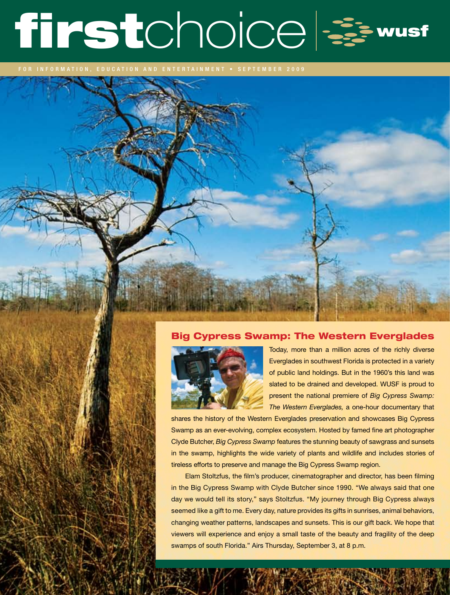# firstchoice =

## Big Cypress Swamp: The Western Everglades



Today, more than a million acres of the richly diverse Everglades in southwest Florida is protected in a variety of public land holdings. But in the 1960's this land was slated to be drained and developed. WUSF is proud to present the national premiere of *Big Cypress Swamp: The Western Everglades,* a one-hour documentary that

shares the history of the Western Everglades preservation and showcases Big Cypress Swamp as an ever-evolving, complex ecosystem. Hosted by famed fine art photographer Clyde Butcher, *Big Cypress Swamp* features the stunning beauty of sawgrass and sunsets in the swamp, highlights the wide variety of plants and wildlife and includes stories of tireless efforts to preserve and manage the Big Cypress Swamp region.

Elam Stoltzfus, the film's producer, cinematographer and director, has been filming in the Big Cypress Swamp with Clyde Butcher since 1990. "We always said that one day we would tell its story," says Stoltzfus. "My journey through Big Cypress always seemed like a gift to me. Every day, nature provides its gifts in sunrises, animal behaviors, changing weather patterns, landscapes and sunsets. This is our gift back. We hope that viewers will experience and enjoy a small taste of the beauty and fragility of the deep swamps of south Florida." Airs Thursday, September 3, at 8 p.m.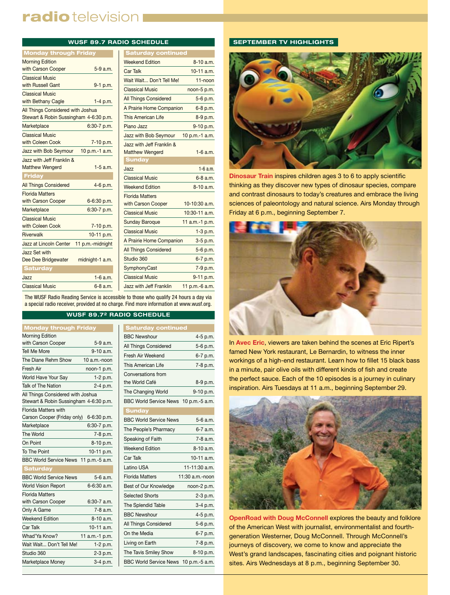# radio television I

|                                                                             |                  | <b>WUSF 89.7 RADIO SCHEDULE</b> |
|-----------------------------------------------------------------------------|------------------|---------------------------------|
| <b>Monday through Friday</b>                                                |                  | <b>Saturday cont</b>            |
| <b>Morning Edition</b>                                                      |                  | <b>Weekend Edition</b>          |
| with Carson Cooper                                                          | $5-9a.m.$        | <b>Car Talk</b>                 |
| <b>Classical Music</b>                                                      |                  | Wait Wait Don't Tel             |
| with Russell Gant                                                           | 9-1 p.m.         | <b>Classical Music</b>          |
| <b>Classical Music</b>                                                      |                  | <b>All Things Considere</b>     |
| with Bethany Cagle                                                          | $1-4$ p.m.       | A Prairie Home Comi             |
| All Things Considered with Joshua<br>Stewart & Robin Sussingham 4-6:30 p.m. |                  | This American Life              |
| Marketplace                                                                 | 6:30-7 p.m.      | Piano Jazz                      |
| Classical Music                                                             |                  | Jazz with Bob Seymo             |
| with Coleen Cook                                                            | 7-10 p.m.        | Jazz with Jeff Frankli          |
| Jazz with Bob Seymour                                                       | 10 p.m.-1 a.m.   | <b>Matthew Wengerd</b>          |
| Jazz with Jeff Franklin &                                                   |                  | <b>Sunday</b>                   |
| <b>Matthew Wengerd</b>                                                      | $1-5$ a.m.       | Jazz                            |
| Friday                                                                      |                  | <b>Classical Music</b>          |
| <b>All Things Considered</b>                                                | 4-6 p.m.         | <b>Weekend Edition</b>          |
| <b>Florida Matters</b>                                                      |                  | <b>Florida Matters</b>          |
| with Carson Cooper                                                          | 6-6:30 p.m.      | with Carson Cooper              |
| Marketplace                                                                 | 6:30-7 p.m.      | <b>Classical Music</b>          |
| <b>Classical Music</b><br>with Coleen Cook                                  |                  | <b>Sunday Baroque</b>           |
| Riverwalk                                                                   | 7-10 p.m.        | Classical Music                 |
| Jazz at Lincoln Center                                                      | 10-11 p.m.       | A Prairie Home Comi             |
| Jazz Set with                                                               | 11 p.m.-midnight | <b>All Things Considere</b>     |
| Dee Dee Bridgewater                                                         | midnight-1 a.m.  | Studio 360                      |
| <b>Saturday</b>                                                             |                  | SymphonyCast                    |
| Jazz                                                                        | $1-6$ a.m.       | <b>Classical Music</b>          |
| Classical Music                                                             | $6 - 8$ a.m.     | Jazz with Jeff Frankli          |

| <b>Saturday continued</b>    |                 |
|------------------------------|-----------------|
| <b>Weekend Edition</b>       | $8-10a.m.$      |
| <b>Car Talk</b>              | $10-11$ a.m.    |
| Wait Wait Don't Tell Me!     | $11 - n$ oon    |
| <b>Classical Music</b>       | noon-5 p.m.     |
| <b>All Things Considered</b> | 5-6 p.m.        |
| A Prairie Home Companion     | 6-8 p.m.        |
| <b>This American Life</b>    | 8-9 p.m.        |
| Piano Jazz                   | 9-10 p.m.       |
| Jazz with Bob Seymour        | 10 p.m.-1 a.m.  |
| Jazz with Jeff Franklin &    |                 |
| <b>Matthew Wengerd</b>       | $1-6$ a.m.      |
| <b>Sunday</b>                |                 |
| Jazz                         | $1 - 6$ a.m.    |
| <b>Classical Music</b>       | $6 - 8$ a.m.    |
| <b>Weekend Edition</b>       | $8-10a.m.$      |
| <b>Florida Matters</b>       |                 |
| with Carson Cooper           | $10-10:30$ a.m. |
| <b>Classical Music</b>       | 10:30-11 a.m.   |
| <b>Sunday Baroque</b>        | 11 a.m.-1 p.m.  |
| <b>Classical Music</b>       | $1-3 p.m.$      |
| A Prairie Home Companion     | $3-5$ p.m.      |
| <b>All Things Considered</b> | 5-6 p.m.        |
| Studio 360                   | 6-7 p.m.        |
| SymphonyCast                 | 7-9 p.m.        |
|                              |                 |
| <b>Classical Music</b>       | 9-11 p.m.       |

The WUSF Radio Reading Service is accessible to those who qualify 24 hours a day via a special radio receiver, provided at no charge. Find more information at www.wusf.org.

#### **WUSF 89.72 RADIO SCHEDULE**

| <b>Monday through Friday</b>           |                |
|----------------------------------------|----------------|
| <b>Morning Edition</b>                 |                |
| with Carson Cooper                     | 5-9 a.m.       |
| Tell Me More                           | 9-10 a.m.      |
| The Diane Rehm Show                    | 10 a.m.-noon   |
| Fresh Air                              | noon-1 p.m.    |
| World Have Your Say                    | 1-2 p.m.       |
| Talk of The Nation                     | 2-4 p.m.       |
| All Things Considered with Joshua      |                |
| Stewart & Robin Sussingham 4-6:30 p.m. |                |
| <b>Florida Matters with</b>            |                |
| Carson Cooper (Friday only)            | 6-6:30 p.m.    |
| Marketplace                            | 6:30-7 p.m.    |
| The World                              | 7-8 p.m.       |
| On Point                               | 8-10 p.m.      |
| To The Point                           | 10-11 p.m.     |
| <b>BBC World Service News</b>          | 11 p.m.-5 a.m. |
| <b>Saturday</b>                        |                |
| <b>BBC World Service News</b>          | 5-6 a.m.       |
| <b>World Vision Report</b>             | 6-6:30 a.m.    |
| <b>Florida Matters</b>                 |                |
| with Carson Cooper                     | $6:30-7$ a.m.  |
| Only A Game                            | 7-8 a.m.       |
| <b>Weekend Edition</b>                 | $8-10a.m.$     |
| Car Talk                               | 10-11 a.m.     |
| Whad'Ya Know?                          | 11 a.m.-1 p.m. |
| Wait Wait Don't Tell Me!               | 1-2 p.m.       |
| Studio 360                             | 2-3 p.m.       |
| Marketplace Money                      | 3-4 p.m.       |

| <b>Saturday continued</b>             |                   |
|---------------------------------------|-------------------|
| <b>BBC Newshour</b>                   | 4-5 p.m.          |
| All Things Considered                 | 5-6 p.m.          |
| Fresh Air Weekend                     | 6-7 p.m.          |
| This American Life                    | 7-8 p.m.          |
| Conversations from                    |                   |
| the World Café                        | 8-9 p.m.          |
| The Changing World                    | 9-10 p.m.         |
| BBC World Service News 10 p.m.-5 a.m. |                   |
| <b>Sunday</b>                         |                   |
| <b>BBC World Service News</b>         | 5-6 a.m.          |
| The People's Pharmacy                 | 6-7 a.m.          |
| Speaking of Faith                     | 7-8 a.m.          |
| <b>Weekend Edition</b>                | 8-10 a.m.         |
| Car Talk                              | 10-11 a.m.        |
| Latino USA                            | $11 - 11:30$ a.m. |
| <b>Florida Matters</b>                | 11:30 a.m.-noon   |
| Best of Our Knowledge                 | noon-2 p.m.       |
| <b>Selected Shorts</b>                | $2-3$ p.m.        |
| The Splendid Table                    | 3-4 p.m.          |
| <b>BBC Newshour</b>                   | 4-5 p.m.          |
| All Things Considered                 | 5-6 p.m.          |
| On the Media                          | 6-7 p.m.          |
| Living on Earth                       | 7-8 p.m.          |
| The Tavis Smiley Show                 | 8-10 p.m.         |
| BBC World Service News 10 p.m.-5 a.m. |                   |

#### **SEPTEMBER TV HIGHLIGHTS**



**Dinosaur Train** inspires children ages 3 to 6 to apply scientific thinking as they discover new types of dinosaur species, compare and contrast dinosaurs to today's creatures and embrace the living sciences of paleontology and natural science. Airs Monday through Friday at 6 p.m., beginning September 7.



In **Avec Eric**, viewers are taken behind the scenes at Eric Ripert's famed New York restaurant, Le Bernardin, to witness the inner workings of a high-end restaurant. Learn how to fillet 15 black bass in a minute, pair olive oils with different kinds of fish and create the perfect sauce. Each of the 10 episodes is a journey in culinary inspiration. Airs Tuesdays at 11 a.m., beginning September 29.



**OpenRoad with Doug McConnell** explores the beauty and folklore of the American West with journalist, environmentalist and fourthgeneration Westerner, Doug McConnell. Through McConnell's journeys of discovery, we come to know and appreciate the West's grand landscapes, fascinating cities and poignant historic sites. Airs Wednesdays at 8 p.m., beginning September 30.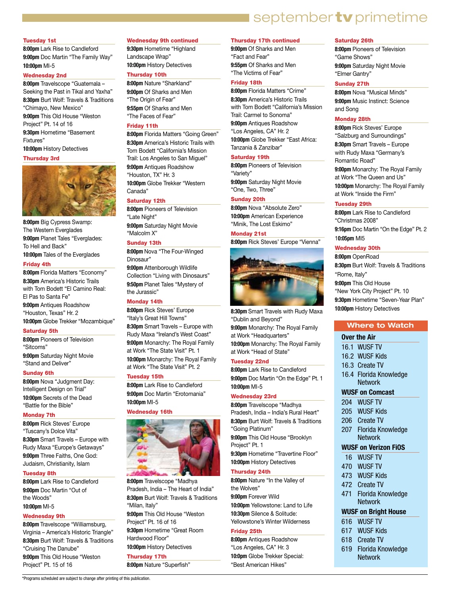# september tv primetime

#### Tuesday 1st

**8:00pm** Lark Rise to Candleford **9:00pm** Doc Martin "The Family Way" **10:00pm** MI-5

#### Wednesday 2nd

**8:00pm** Travelscope "Guatemala – Seeking the Past in Tikal and Yaxha" **8:30pm** Burt Wolf: Travels & Traditions "Chimayo, New Mexico"

**9:00pm** This Old House "Weston Project" Pt. 14 of 16 **9:30pm** Hometime "Basement

Fixtures" **10:00pm** History Detectives

#### Thursday 3rd



**8:00pm** Big Cypress Swamp: The Western Everglades **9:00pm** Planet Tales "Everglades: To Hell and Back" **10:00pm** Tales of the Everglades

#### Friday 4th

**8:00pm** Florida Matters "Economy" **8:30pm** America's Historic Trails with Tom Bodett "El Camino Real: El Pas to Santa Fe" **9:00pm** Antiques Roadshow "Houston, Texas" Hr. 2 **10:00pm** Globe Trekker "Mozambique"

#### Saturday 5th

**8:00pm** Pioneers of Television "Sitcoms" **9:00pm** Saturday Night Movie

"Stand and Deliver"

#### Sunday 6th

**8:00pm** Nova "Judgment Day: Intelligent Design on Trial" **10:00pm** Secrets of the Dead "Battle for the Bible"

#### Monday 7th

**8:00pm** Rick Steves' Europe "Tuscany's Dolce Vita" **8:30pm** Smart Travels – Europe with Rudy Maxa "Europe's Getaways" **9:00pm** Three Faiths, One God: Judaism, Christianity, Islam

#### Tuesday 8th

**8:00pm** Lark Rise to Candleford **9:00pm** Doc Martin "Out of the Woods" **10:00pm** MI-5

#### Wednesday 9th

**8:00pm** Travelscope "Williamsburg, Virginia – America's Historic Triangle" **8:30pm** Burt Wolf: Travels & Traditions "Cruising The Danube" **9:00pm** This Old House "Weston Project" Pt. 15 of 16

#### Wednesday 9th continued

**9:30pm** Hometime "Highland Landscape Wrap" **10:00pm** History Detectives

### Thursday 10th

**8:00pm** Nature "Sharkland" **9:00pm** Of Sharks and Men "The Origin of Fear" **9:55pm** Of Sharks and Men "The Faces of Fear"

#### Friday 11th

**8:00pm** Florida Matters "Going Green" **8:30pm** America's Historic Trails with Tom Bodett "California's Mission Trail: Los Angeles to San Miguel" **9:00pm** Antiques Roadshow "Houston, TX" Hr. 3 **10:00pm** Globe Trekker "Western Canada"

#### Saturday 12th

**8:00pm** Pioneers of Television "Late Night" **9:00pm** Saturday Night Movie "Malcolm X"

#### Sunday 13th

**8:00pm** Nova "The Four-Winged Dinosaur"

**9:00pm** Attenborough Wildlife Collection "Living with Dinosaurs" **9:50pm** Planet Tales "Mystery of the Jurassic"

#### Monday 14th

**8:00pm** Rick Steves' Europe "Italy's Great Hill Towns" **8:30pm** Smart Travels – Europe with Rudy Maxa "Ireland's West Coast" **9:00pm** Monarchy: The Royal Family at Work "The State Visit" Pt. 1 **10:00pm** Monarchy: The Royal Family at Work "The State Visit" Pt. 2

#### Tuesday 15th

**8:00pm** Lark Rise to Candleford **9:00pm** Doc Martin "Erotomania" **10:00pm** MI-5

#### Wednesday 16th



**8:00pm** Travelscope "Madhya Pradesh, India – The Heart of India" **8:30pm** Burt Wolf: Travels & Traditions "Milan, Italy" **9:00pm** This Old House "Weston Project" Pt. 16 of 16 **9:30pm** Hometime "Great Room Hardwood Floor" **10:00pm** History Detectives Thursday 17th

**8:00pm** Nature "Superfish"

#### Thursday 17th continued

**9:00pm** Of Sharks and Men "Fact and Fear" **9:55pm** Of Sharks and Men "The Victims of Fear"

#### Friday 18th

**8:00pm** Florida Matters "Crime" **8:30pm** America's Historic Trails with Tom Bodett "California's Mission Trail: Carmel to Sonoma"

**9:00pm** Antiques Roadshow "Los Angeles, CA" Hr. 2 **10:00pm** Globe Trekker "East Africa:

Tanzania & Zanzibar"

#### Saturday 19th

**8:00pm** Pioneers of Television "Variety" **9:00pm** Saturday Night Movie "One, Two, Three"

#### Sunday 20th

**8:00pm** Nova "Absolute Zero" **10:00pm** American Experience "Minik, The Lost Eskimo"

#### Monday 21st

**8:00pm** Rick Steves' Europe "Vienna"



**8:30pm** Smart Travels with Rudy Maxa "Dublin and Beyond" **9:00pm** Monarchy: The Royal Family at Work "Headquarters" **10:00pm** Monarchy: The Royal Family at Work "Head of State"

#### Tuesday 22nd

**8:00pm** Lark Rise to Candleford **9:00pm** Doc Martin "On the Edge" Pt. 1 **10:00pm** MI-5

#### Wednesday 23rd

**8:00pm** Travelscope "Madhya Pradesh, India – India's Rural Heart" **8:30pm** Burt Wolf: Travels & Traditions "Going Platinum" **9:00pm** This Old House "Brooklyn Project" Pt. 1 **9:30pm** Hometime "Travertine Floor"

#### **10:00pm** History Detectives Thursday 24th

**8:00pm** Nature "In the Valley of the Wolves" **9:00pm** Forever Wild **10:00pm** Yellowstone: Land to Life **10:30pm** Silence & Solitude: Yellowstone's Winter Wilderness

#### Friday 25th

**8:00pm** Antiques Roadshow "Los Angeles, CA" Hr. 3 **10:0pm** Globe Trekker Special: "Best American Hikes"

#### Saturday 26th

**8:00pm** Pioneers of Television "Game Shows" **9:00pm** Saturday Night Movie "Elmer Gantry"

#### Sunday 27th

**8:00pm** Nova "Musical Minds" **9:00pm** Music Instinct: Science and Song

#### Monday 28th

**8:00pm** Rick Steves' Europe "Salzburg and Surroundings" **8:30pm** Smart Travels – Europe with Rudy Maxa "Germany's Romantic Road" **9:00pm** Monarchy: The Royal Family at Work "The Queen and Us"

**10:00pm** Monarchy: The Royal Family at Work "Inside the Firm"

#### Tuesday 29th

**8:00pm** Lark Rise to Candleford "Christmas 2008" **9:16pm** Doc Martin "On the Edge" Pt. 2 1**0:05pm** MI5

#### Wednesday 30th

**8:00pm** OpenRoad

**8:30pm** Burt Wolf: Travels & Traditions "Rome, Italy" **9:00pm** This Old House "New York City Project" Pt. 10 **9:30pm** Hometime "Seven-Year Plan" **10:00pm** History Detectives

#### **Where to Watch**

#### **Over the Air**

- 16.1 WUSF TV
- 16.2 WUSF Kids
- 16.3 Create TV
- 16.4 Florida Knowledge **Network**

#### **WUSF on Comcast**

- 204 WUSF TV
- 205 WUSF Kids
- 206 Create TV
- 207 Florida Knowledge Network

#### **WUSF on Verizon FiOS**

- 16 WUSF TV
- 470 WUSF TV
- 473 WUSF Kids
- 472 Create TV
- 471 Florida Knowledge **Network**

#### **WUSF on Bright House**

- 616 WUSF TV
- 617 WUSF Kids
- 618 Create TV
- 619 Florida Knowledge **Network**